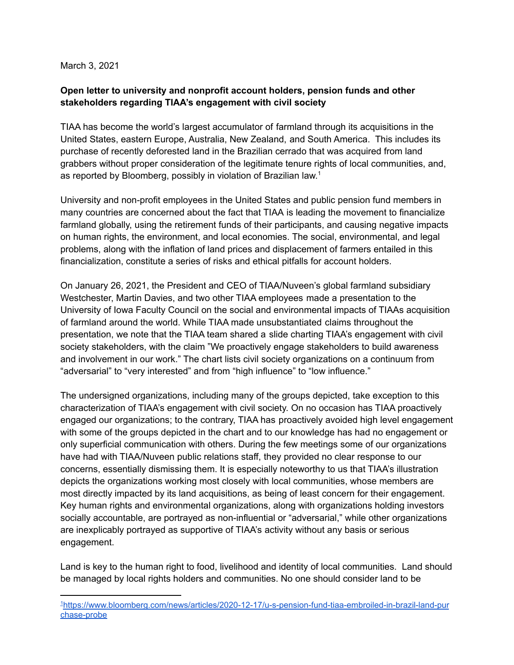March 3, 2021

## **Open letter to university and nonprofit account holders, pension funds and other stakeholders regarding TIAA's engagement with civil society**

TIAA has become the world's largest accumulator of farmland through its acquisitions in the United States, eastern Europe, Australia, New Zealand, and South America. This includes its purchase of recently deforested land in the Brazilian cerrado that was acquired from land grabbers without proper consideration of the legitimate tenure rights of local communities, and, as reported by Bloomberg, possibly in violation of Brazilian law.<sup>1</sup>

University and non-profit employees in the United States and public pension fund members in many countries are concerned about the fact that TIAA is leading the movement to financialize farmland globally, using the retirement funds of their participants, and causing negative impacts on human rights, the environment, and local economies. The social, environmental, and legal problems, along with the inflation of land prices and displacement of farmers entailed in this financialization, constitute a series of risks and ethical pitfalls for account holders.

On January 26, 2021, the President and CEO of TIAA/Nuveen's global farmland subsidiary Westchester, Martin Davies, and two other TIAA employees made a presentation to the University of Iowa Faculty Council on the social and environmental impacts of TIAAs acquisition of farmland around the world. While TIAA made unsubstantiated claims throughout the presentation, we note that the TIAA team shared a slide charting TIAA's engagement with civil society stakeholders, with the claim "We proactively engage stakeholders to build awareness and involvement in our work." The chart lists civil society organizations on a continuum from "adversarial" to "very interested" and from "high influence" to "low influence."

The undersigned organizations, including many of the groups depicted, take exception to this characterization of TIAA's engagement with civil society. On no occasion has TIAA proactively engaged our organizations; to the contrary, TIAA has proactively avoided high level engagement with some of the groups depicted in the chart and to our knowledge has had no engagement or only superficial communication with others. During the few meetings some of our organizations have had with TIAA/Nuveen public relations staff, they provided no clear response to our concerns, essentially dismissing them. It is especially noteworthy to us that TIAA's illustration depicts the organizations working most closely with local communities, whose members are most directly impacted by its land acquisitions, as being of least concern for their engagement. Key human rights and environmental organizations, along with organizations holding investors socially accountable, are portrayed as non-influential or "adversarial," while other organizations are inexplicably portrayed as supportive of TIAA's activity without any basis or serious engagement.

Land is key to the human right to food, livelihood and identity of local communities. Land should be managed by local rights holders and communities. No one should consider land to be

<sup>1</sup>[https://www.bloomberg.com/news/articles/2020-12-17/u-s-pension-fund-tiaa-embroiled-in-brazil-land-pur](https://www.bloomberg.com/news/articles/2020-12-17/u-s-pension-fund-tiaa-embroiled-in-brazil-land-purchase-probe) [chase-probe](https://www.bloomberg.com/news/articles/2020-12-17/u-s-pension-fund-tiaa-embroiled-in-brazil-land-purchase-probe)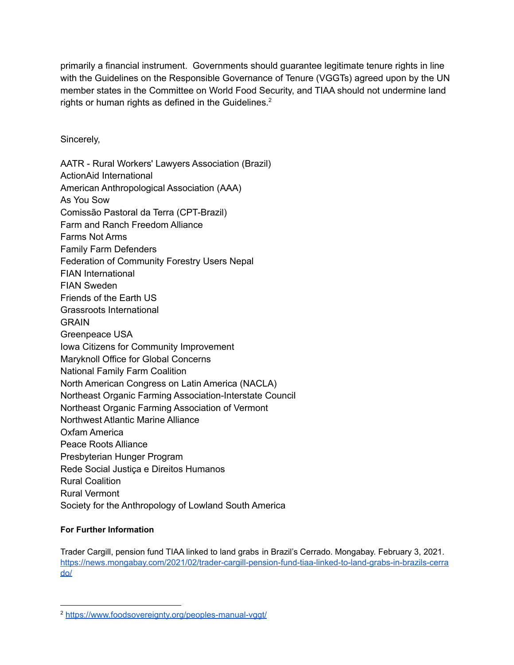primarily a financial instrument. Governments should guarantee legitimate tenure rights in line with the Guidelines on the Responsible Governance of Tenure (VGGTs) agreed upon by the UN member states in the Committee on World Food Security, and TIAA should not undermine land rights or human rights as defined in the Guidelines.<sup>2</sup>

Sincerely,

AATR - Rural Workers' Lawyers Association (Brazil) ActionAid International American Anthropological Association (AAA) As You Sow Comissão Pastoral da Terra (CPT-Brazil) Farm and Ranch Freedom Alliance Farms Not Arms Family Farm Defenders Federation of Community Forestry Users Nepal FIAN International FIAN Sweden Friends of the Earth US Grassroots International GRAIN Greenpeace USA Iowa Citizens for Community Improvement Maryknoll Office for Global Concerns National Family Farm Coalition North American Congress on Latin America (NACLA) Northeast Organic Farming Association-Interstate Council Northeast Organic Farming Association of Vermont Northwest Atlantic Marine Alliance Oxfam America Peace Roots Alliance Presbyterian Hunger Program Rede Social Justiça e Direitos Humanos Rural Coalition Rural Vermont Society for the Anthropology of Lowland South America

## **For Further Information**

Trader Cargill, pension fund TIAA linked to land grabs in Brazil's Cerrado. Mongabay. February 3, 2021. [https://news.mongabay.com/2021/02/trader-cargill-pension-fund-tiaa-linked-to-land-grabs-in-brazils-cerra](https://news.mongabay.com/2021/02/trader-cargill-pension-fund-tiaa-linked-to-land-grabs-in-brazils-cerrado/) [do/](https://news.mongabay.com/2021/02/trader-cargill-pension-fund-tiaa-linked-to-land-grabs-in-brazils-cerrado/)

<sup>2</sup> <https://www.foodsovereignty.org/peoples-manual-vggt/>